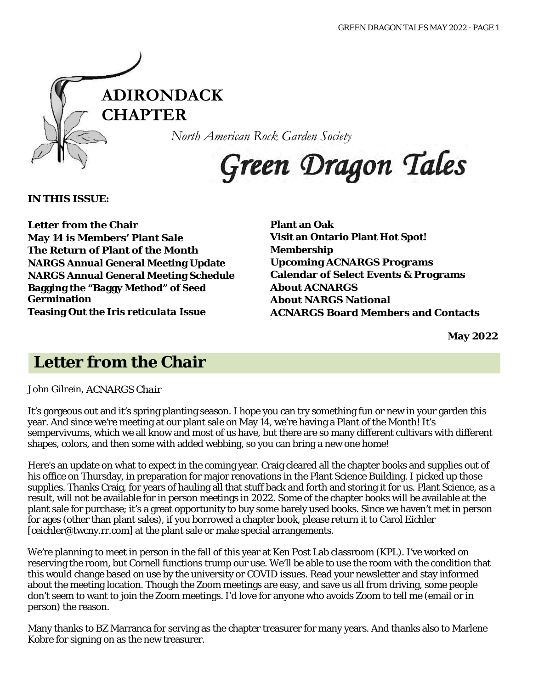

*North American Rock Garden Society*

# Green Dragon Tales

**IN THIS ISSUE:**

**Letter from the Chair May 14 is Members' Plant Sale The Return of Plant of the Month NARGS Annual General Meeting Update NARGS Annual General Meeting Schedule Bagging the "Baggy Method" of Seed Germination Teasing Out the** *Iris reticulata* **Issue**

**Plant an Oak Visit an Ontario Plant Hot Spot! Membership Upcoming ACNARGS Programs Calendar of Select Events & Programs About ACNARGS About NARGS National ACNARGS Board Members and Contacts**

**May 2022**

### **Letter from the Chair**

*John Gilrein, ACNARGS Chair*

It's gorgeous out and it's spring planting season. I hope you can try something fun or new in your garden this year. And since we're meeting at our plant sale on May 14, we're having a Plant of the Month! It's sempervivums, which we all know and most of us have, but there are so many different cultivars with different shapes, colors, and then some with added webbing, so you can bring a new one home!

Here's an update on what to expect in the coming year. Craig cleared all the chapter books and supplies out of his office on Thursday, in preparation for major renovations in the Plant Science Building. I picked up those supplies. Thanks Craig, for years of hauling all that stuff back and forth and storing it for us. Plant Science, as a result, will not be available for in person meetings in 2022. Some of the chapter books will be available at the plant sale for purchase; it's a great opportunity to buy some barely used books. Since we haven't met in person for ages (other than plant sales), if you borrowed a chapter book, please return it to Carol Eichler [ceichler@twcny.rr.com] at the plant sale or make special arrangements.

We're planning to meet in person in the fall of this year at Ken Post Lab classroom (KPL). I've worked on reserving the room, but Cornell functions trump our use. We'll be able to use the room with the condition that this would change based on use by the university or COVID issues. Read your newsletter and stay informed about the meeting location. Though the Zoom meetings are easy, and save us all from driving, some people don't seem to want to join the Zoom meetings. I'd love for anyone who avoids Zoom to tell me (email or in person) the reason.

Many thanks to BZ Marranca for serving as the chapter treasurer for many years. And thanks also to Marlene Kobre for signing on as the new treasurer.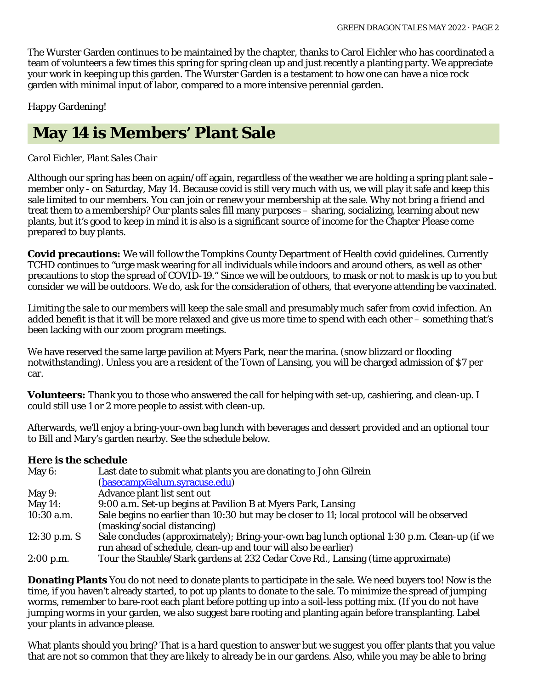The Wurster Garden continues to be maintained by the chapter, thanks to Carol Eichler who has coordinated a team of volunteers a few times this spring for spring clean up and just recently a planting party. We appreciate your work in keeping up this garden. The Wurster Garden is a testament to how one can have a nice rock garden with minimal input of labor, compared to a more intensive perennial garden.

Happy Gardening!

# **May 14 is Members' Plant Sale**

#### *Carol Eichler, Plant Sales Chair*

Although our spring has been on again/off again, regardless of the weather we are holding a spring plant sale – member only - on Saturday, May 14. Because covid is still very much with us, we will play it safe and keep this sale limited to our members. You can join or renew your membership at the sale. Why not bring a friend and treat them to a membership? Our plants sales fill many purposes – sharing, socializing, learning about new plants, but it's good to keep in mind it is also is a significant source of income for the Chapter Please come prepared to buy plants.

**Covid precautions:** We will follow the Tompkins County Department of Health covid guidelines. Currently TCHD continues to "urge mask wearing for all individuals while indoors and around others, as well as other precautions to stop the spread of COVID-19." Since we will be outdoors, to mask or not to mask is up to you but consider we will be outdoors. We do, ask for the consideration of others, that everyone attending be vaccinated.

Limiting the sale to our members will keep the sale small and presumably much safer from covid infection. An added benefit is that it will be more relaxed and give us more time to spend with each other – something that's been lacking with our zoom program meetings.

We have reserved the same large pavilion at Myers Park, near the marina. (snow blizzard or flooding notwithstanding). Unless you are a resident of the Town of Lansing, you will be charged admission of \$7 per car.

**Volunteers:** Thank you to those who answered the call for helping with set-up, cashiering, and clean-up. I could still use 1 or 2 more people to assist with clean-up.

Afterwards, we'll enjoy a bring-your-own bag lunch with beverages and dessert provided and an optional tour to Bill and Mary's garden nearby. See the schedule below.

#### **Here is the schedule**

| May $6:$       | Last date to submit what plants you are donating to John Gilrein                            |  |  |
|----------------|---------------------------------------------------------------------------------------------|--|--|
|                | (basecamp@alum.syracuse.edu)                                                                |  |  |
| May $9:$       | Advance plant list sent out                                                                 |  |  |
| May $14$ :     | 9:00 a.m. Set-up begins at Pavilion B at Myers Park, Lansing                                |  |  |
| $10:30$ a.m.   | Sale begins no earlier than 10:30 but may be closer to 11; local protocol will be observed  |  |  |
|                | (masking/social distancing)                                                                 |  |  |
| $12:30$ p.m. S | Sale concludes (approximately); Bring-your-own bag lunch optional 1:30 p.m. Clean-up (if we |  |  |
|                | run ahead of schedule, clean-up and tour will also be earlier)                              |  |  |
| $2:00$ p.m.    | Tour the Stauble/Stark gardens at 232 Cedar Cove Rd., Lansing (time approximate)            |  |  |

**Donating Plants** You do not need to donate plants to participate in the sale. We need buyers too! Now is the time, if you haven't already started, to pot up plants to donate to the sale. To minimize the spread of jumping worms, remember to bare-root each plant before potting up into a soil-less potting mix. (If you do not have jumping worms in your garden, we also suggest bare rooting and planting again before transplanting. Label your plants in advance please.

What plants should you bring? That is a hard question to answer but we suggest you offer plants that you value that are not so common that they are likely to already be in our gardens. Also, while you may be able to bring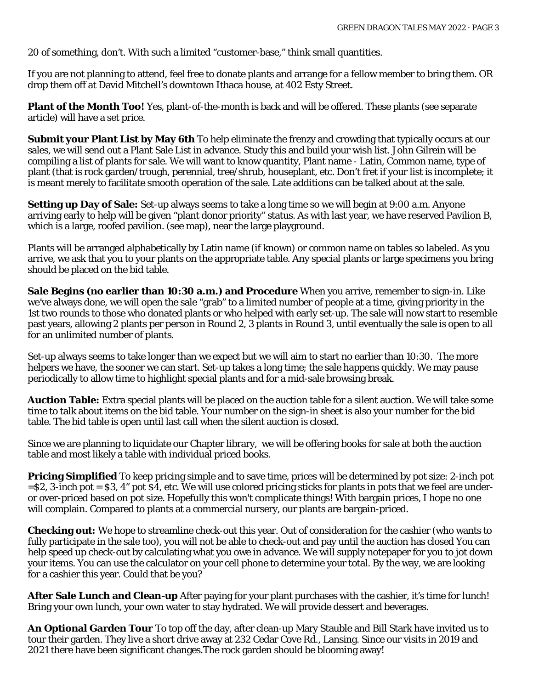20 of something, don't. With such a limited "customer-base," think small quantities.

If you are not planning to attend, feel free to donate plants and arrange for a fellow member to bring them. OR drop them off at David Mitchell's downtown Ithaca house, at 402 Esty Street.

**Plant of the Month Too!** Yes, plant-of-the-month is back and will be offered. These plants (see separate article) will have a set price.

**Submit your Plant List by May 6th** To help eliminate the frenzy and crowding that typically occurs at our sales, we will send out a Plant Sale List in advance. Study this and build your wish list. John Gilrein will be compiling a list of plants for sale. We will want to know quantity, Plant name - Latin, Common name, type of plant (that is rock garden/trough, perennial, tree/shrub, houseplant, etc. Don't fret if your list is incomplete; it is meant merely to facilitate smooth operation of the sale. Late additions can be talked about at the sale.

**Setting up Day of Sale:** Set-up always seems to take a long time so we will begin at 9:00 a.m. Anyone arriving early to help will be given "plant donor priority" status. As with last year, we have reserved Pavilion B, which is a large, roofed pavilion. (see map), near the large playground.

Plants will be arranged alphabetically by Latin name (if known) or common name on tables so labeled. As you arrive, we ask that you to your plants on the appropriate table. Any special plants or large specimens you bring should be placed on the bid table.

**Sale Begins (no earlier than 10:30 a.m.) and Procedure** When you arrive, remember to sign-in. Like we've always done, we will open the sale "grab" to a limited number of people at a time, giving priority in the 1st two rounds to those who donated plants or who helped with early set-up. The sale will now start to resemble past years, allowing 2 plants per person in Round 2, 3 plants in Round 3, until eventually the sale is open to all for an unlimited number of plants.

Set-up always seems to take longer than we expect but we will aim to start no earlier than 10:30. The more helpers we have, the sooner we can start. Set-up takes a long time; the sale happens quickly. We may pause periodically to allow time to highlight special plants and for a mid-sale browsing break.

**Auction Table:** Extra special plants will be placed on the auction table for a silent auction. We will take some time to talk about items on the bid table. Your number on the sign-in sheet is also your number for the bid table. The bid table is open until last call when the silent auction is closed.

Since we are planning to liquidate our Chapter library, we will be offering books for sale at both the auction table and most likely a table with individual priced books.

**Pricing Simplified** To keep pricing simple and to save time, prices will be determined by pot size: 2-inch pot =\$2, 3-inch pot = \$3, 4" pot \$4, etc. We will use colored pricing sticks for plants in pots that we feel are underor over-priced based on pot size. Hopefully this won't complicate things! With bargain prices, I hope no one will complain. Compared to plants at a commercial nursery, our plants are bargain-priced.

**Checking out:** We hope to streamline check-out this year. Out of consideration for the cashier (who wants to fully participate in the sale too), you will not be able to check-out and pay until the auction has closed You can help speed up check-out by calculating what you owe in advance. We will supply notepaper for you to jot down your items. You can use the calculator on your cell phone to determine your total. By the way, we are looking for a cashier this year. Could that be you?

**After Sale Lunch and Clean-up** After paying for your plant purchases with the cashier, it's time for lunch! Bring your own lunch, your own water to stay hydrated. We will provide dessert and beverages.

**An Optional Garden Tour** To top off the day, after clean-up Mary Stauble and Bill Stark have invited us to tour their garden. They live a short drive away at 232 Cedar Cove Rd., Lansing. Since our visits in 2019 and 2021 there have been significant changes.The rock garden should be blooming away!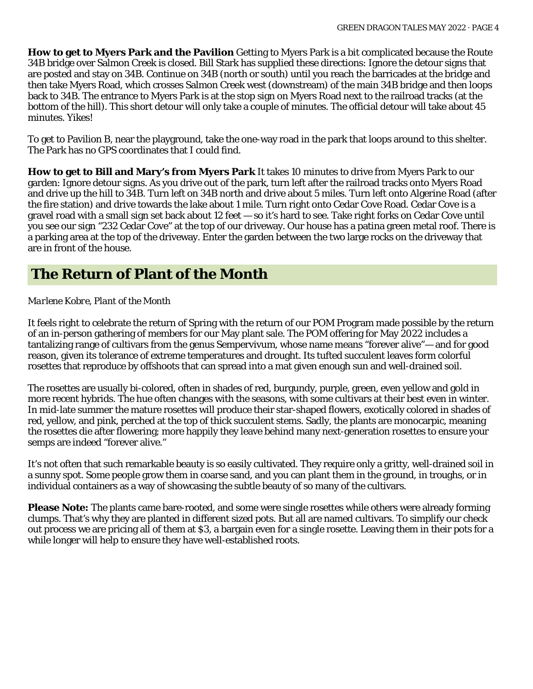**How to get to Myers Park and the Pavilion** Getting to Myers Park is a bit complicated because the Route 34B bridge over Salmon Creek is closed. Bill Stark has supplied these directions: Ignore the detour signs that are posted and stay on 34B. Continue on 34B (north or south) until you reach the barricades at the bridge and then take Myers Road, which crosses Salmon Creek west (downstream) of the main 34B bridge and then loops back to 34B. The entrance to Myers Park is at the stop sign on Myers Road next to the railroad tracks (at the bottom of the hill). This short detour will only take a couple of minutes. The official detour will take about 45 minutes. Yikes!

To get to Pavilion B, near the playground, take the one-way road in the park that loops around to this shelter. The Park has no GPS coordinates that I could find.

**How to get to Bill and Mary's from Myers Park** It takes 10 minutes to drive from Myers Park to our garden: Ignore detour signs. As you drive out of the park, turn left after the railroad tracks onto Myers Road and drive up the hill to 34B. Turn left on 34B north and drive about 5 miles. Turn left onto Algerine Road (after the fire station) and drive towards the lake about 1 mile. Turn right onto Cedar Cove Road. Cedar Cove is a gravel road with a small sign set back about 12 feet — so it's hard to see. Take right forks on Cedar Cove until you see our sign "232 Cedar Cove" at the top of our driveway. Our house has a patina green metal roof. There is a parking area at the top of the driveway. Enter the garden between the two large rocks on the driveway that are in front of the house.

### **The Return of Plant of the Month**

#### *Marlene Kobre, Plant of the Month*

It feels right to celebrate the return of Spring with the return of our POM Program made possible by the return of an in-person gathering of members for our May plant sale. The POM offering for May 2022 includes a tantalizing range of cultivars from the genus Sempervivum, whose name means "forever alive"— and for good reason, given its tolerance of extreme temperatures and drought. Its tufted succulent leaves form colorful rosettes that reproduce by offshoots that can spread into a mat given enough sun and well-drained soil.

The rosettes are usually bi-colored, often in shades of red, burgundy, purple, green, even yellow and gold in more recent hybrids. The hue often changes with the seasons, with some cultivars at their best even in winter. In mid-late summer the mature rosettes will produce their star-shaped flowers, exotically colored in shades of red, yellow, and pink, perched at the top of thick succulent stems. Sadly, the plants are monocarpic, meaning the rosettes die after flowering; more happily they leave behind many next-generation rosettes to ensure your semps are indeed "forever alive."

It's not often that such remarkable beauty is so easily cultivated. They require only a gritty, well-drained soil in a sunny spot. Some people grow them in coarse sand, and you can plant them in the ground, in troughs, or in individual containers as a way of showcasing the subtle beauty of so many of the cultivars.

**Please Note:** The plants came bare-rooted, and some were single rosettes while others were already forming clumps. That's why they are planted in different sized pots. But all are named cultivars. To simplify our check out process we are pricing all of them at \$3, a bargain even for a single rosette. Leaving them in their pots for a while longer will help to ensure they have well-established roots.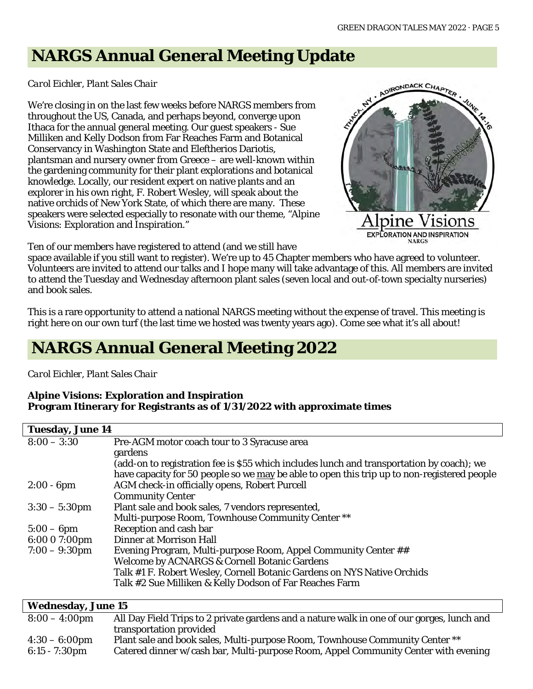# **NARGS Annual General Meeting Update**

#### *Carol Eichler, Plant Sales Chair*

We're closing in on the last few weeks before NARGS members from throughout the US, Canada, and perhaps beyond, converge upon Ithaca for the annual general meeting. Our guest speakers - Sue Milliken and Kelly Dodson from Far Reaches Farm and Botanical Conservancy in Washington State and Eleftherios Dariotis, plantsman and nursery owner from Greece – are well-known within the gardening community for their plant explorations and botanical knowledge. Locally, our resident expert on native plants and an explorer in his own right, F. Robert Wesley, will speak about the native orchids of New York State, of which there are many. These speakers were selected especially to resonate with our theme, "Alpine Visions: Exploration and Inspiration."



Ten of our members have registered to attend (and we still have

space available if you still want to register). We're up to 45 Chapter members who have agreed to volunteer. Volunteers are invited to attend our talks and I hope many will take advantage of this. All members are invited to attend the Tuesday and Wednesday afternoon plant sales (seven local and out-of-town specialty nurseries) and book sales.

This is a rare opportunity to attend a national NARGS meeting without the expense of travel. This meeting is right here on our own turf (the last time we hosted was twenty years ago). Come see what it's all about!

# **NARGS Annual General Meeting 2022**

#### *Carol Eichler, Plant Sales Chair*

#### **Alpine Visions: Exploration and Inspiration Program Itinerary for Registrants as of 1/31/2022 with approximate times**

| <b>Tuesday, June 14</b>                                                            |                                                                                             |  |  |  |  |
|------------------------------------------------------------------------------------|---------------------------------------------------------------------------------------------|--|--|--|--|
| $8:00 - 3:30$                                                                      | Pre-AGM motor coach tour to 3 Syracuse area                                                 |  |  |  |  |
|                                                                                    | gardens                                                                                     |  |  |  |  |
|                                                                                    | (add-on to registration fee is \$55 which includes lunch and transportation by coach); we   |  |  |  |  |
|                                                                                    | have capacity for 50 people so we may be able to open this trip up to non-registered people |  |  |  |  |
| $2:00 - 6$ pm                                                                      | AGM check-in officially opens, Robert Purcell                                               |  |  |  |  |
|                                                                                    | <b>Community Center</b>                                                                     |  |  |  |  |
| $3:30 - 5:30$ pm                                                                   | Plant sale and book sales, 7 vendors represented,                                           |  |  |  |  |
|                                                                                    | Multi-purpose Room, Townhouse Community Center **                                           |  |  |  |  |
| $5:00-6$ pm                                                                        | Reception and cash bar                                                                      |  |  |  |  |
| 6:00 0 7:00pm                                                                      | <b>Dinner at Morrison Hall</b>                                                              |  |  |  |  |
| $7:00 - 9:30$ pm<br>Evening Program, Multi-purpose Room, Appel Community Center ## |                                                                                             |  |  |  |  |
|                                                                                    | <b>Welcome by ACNARGS &amp; Cornell Botanic Gardens</b>                                     |  |  |  |  |
|                                                                                    | Talk #1 F. Robert Wesley, Cornell Botanic Gardens on NYS Native Orchids                     |  |  |  |  |
|                                                                                    | Talk #2 Sue Milliken & Kelly Dodson of Far Reaches Farm                                     |  |  |  |  |
|                                                                                    |                                                                                             |  |  |  |  |

| <b>Wednesday, June 15</b> |                                                                                            |  |  |  |
|---------------------------|--------------------------------------------------------------------------------------------|--|--|--|
| $8:00 - 4:00 \text{pm}$   | All Day Field Trips to 2 private gardens and a nature walk in one of our gorges, lunch and |  |  |  |
|                           | transportation provided                                                                    |  |  |  |
| $4:30 - 6:00 \text{pm}$   | Plant sale and book sales, Multi-purpose Room, Townhouse Community Center **               |  |  |  |
| $6:15 - 7:30 \text{pm}$   | Catered dinner w/cash bar, Multi-purpose Room, Appel Community Center with evening         |  |  |  |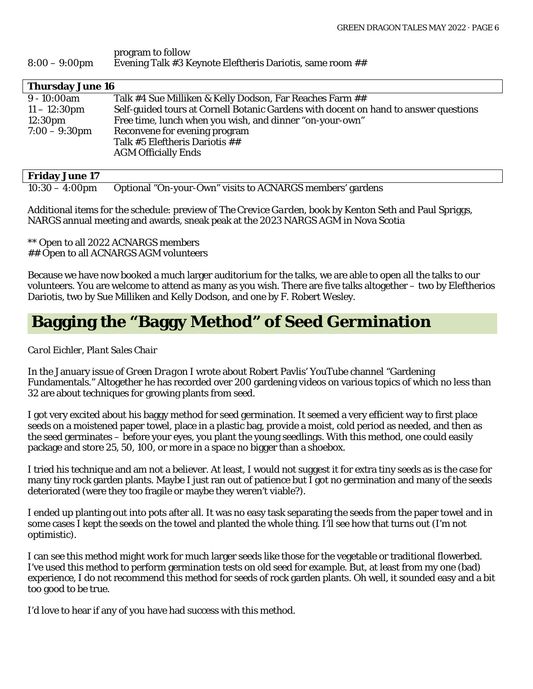#### program to follow 8:00 – 9:00pm Evening Talk #3 Keynote Eleftheris Dariotis, same room ##

| <b>Thursday June 16</b>                           |                                                                                      |  |  |  |  |
|---------------------------------------------------|--------------------------------------------------------------------------------------|--|--|--|--|
| $9 - 10:00$ am                                    | Talk #4 Sue Milliken & Kelly Dodson, Far Reaches Farm ##                             |  |  |  |  |
| $11 - 12:30 \text{pm}$                            | Self-guided tours at Cornell Botanic Gardens with docent on hand to answer questions |  |  |  |  |
| $12:30 \text{pm}$                                 | Free time, lunch when you wish, and dinner "on-your-own"                             |  |  |  |  |
| $7:00 - 9:30$ pm<br>Reconvene for evening program |                                                                                      |  |  |  |  |
|                                                   | Talk #5 Eleftheris Dariotis ##                                                       |  |  |  |  |
|                                                   | <b>AGM Officially Ends</b>                                                           |  |  |  |  |
|                                                   |                                                                                      |  |  |  |  |

#### **Friday June 17**

10:30 – 4:00pm Optional "On-your-Own" visits to ACNARGS members' gardens

Additional items for the schedule: preview of *The Crevice Garden*, book by Kenton Seth and Paul Spriggs, NARGS annual meeting and awards, sneak peak at the 2023 NARGS AGM in Nova Scotia

\*\* Open to all 2022 ACNARGS members ## Open to all ACNARGS AGM volunteers

Because we have now booked a much larger auditorium for the talks, we are able to open all the talks to our volunteers. You are welcome to attend as many as you wish. There are five talks altogether – two by Eleftherios Dariotis, two by Sue Milliken and Kelly Dodson, and one by F. Robert Wesley.

### **Bagging the "Baggy Method" of Seed Germination**

#### *Carol Eichler, Plant Sales Chair*

In the January issue of *Green Dragon* I wrote about Robert Pavlis' YouTube channel "Gardening Fundamentals." Altogether he has recorded over 200 gardening videos on various topics of which no less than 32 are about techniques for growing plants from seed.

I got very excited about his baggy method for seed germination. It seemed a very efficient way to first place seeds on a moistened paper towel, place in a plastic bag, provide a moist, cold period as needed, and then as the seed germinates – before your eyes, you plant the young seedlings. With this method, one could easily package and store 25, 50, 100, or more in a space no bigger than a shoebox.

I tried his technique and am not a believer. At least, I would not suggest it for extra tiny seeds as is the case for many tiny rock garden plants. Maybe I just ran out of patience but I got no germination and many of the seeds deteriorated (were they too fragile or maybe they weren't viable?).

I ended up planting out into pots after all. It was no easy task separating the seeds from the paper towel and in some cases I kept the seeds on the towel and planted the whole thing. I'll see how that turns out (I'm not optimistic).

I can see this method might work for much larger seeds like those for the vegetable or traditional flowerbed. I've used this method to perform germination tests on old seed for example. But, at least from my one (bad) experience, I do not recommend this method for seeds of rock garden plants. Oh well, it sounded easy and a bit too good to be true.

I'd love to hear if any of you have had success with this method.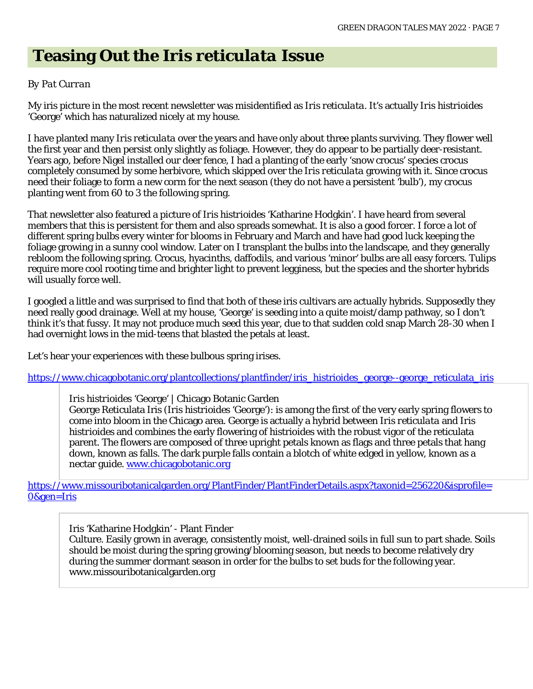# **Teasing Out the** *Iris reticulata* **Issue**

#### *By Pat Curran*

My iris picture in the most recent newsletter was misidentified as *Iris reticulata*. It's actually *Iris histrioides* 'George' which has naturalized nicely at my house.

I have planted many *Iris reticulata* over the years and have only about three plants surviving. They flower well the first year and then persist only slightly as foliage. However, they do appear to be partially deer-resistant. Years ago, before Nigel installed our deer fence, I had a planting of the early 'snow crocus' species crocus completely consumed by some herbivore, which skipped over the *Iris reticulata* growing with it. Since crocus need their foliage to form a new corm for the next season (they do not have a persistent 'bulb'), my crocus planting went from 60 to 3 the following spring.

That newsletter also featured a picture of *Iris histrioides* 'Katharine Hodgkin'. I have heard from several members that this is persistent for them and also spreads somewhat. It is also a good forcer. I force a lot of different spring bulbs every winter for blooms in February and March and have had good luck keeping the foliage growing in a sunny cool window. Later on I transplant the bulbs into the landscape, and they generally rebloom the following spring. Crocus, hyacinths, daffodils, and various 'minor' bulbs are all easy forcers. Tulips require more cool rooting time and brighter light to prevent legginess, but the species and the shorter hybrids will usually force well.

I googled a little and was surprised to find that both of these iris cultivars are actually hybrids. Supposedly they need really good drainage. Well at my house, 'George' is seeding into a quite moist/damp pathway, so I don't think it's that fussy. It may not produce much seed this year, due to that sudden cold snap March 28-30 when I had overnight lows in the mid-teens that blasted the petals at least.

Let's hear your experiences with these bulbous spring irises.

[https://www.chicagobotanic.org/plantcollections/plantfinder/iris\\_histrioides\\_george--george\\_reticulata\\_iris](https://www.chicagobotanic.org/plantcollections/plantfinder/iris_histrioides_george--george_reticulata_iris)

#### *Iris histrioides* 'George' [| Chicago Botanic Garden](https://www.chicagobotanic.org/plantcollections/plantfinder/iris_histrioides_george--george_reticulata_iris)

George Reticulata Iris (*Iris histrioides* 'George'): is among the first of the very early spring flowers to come into bloom in the Chicago area. George is actually a hybrid between *Iris reticulata* and *Iris histrioides* and combines the early flowering of histrioides with the robust vigor of the reticulata parent. The flowers are composed of three upright petals known as flags and three petals that hang down, known as falls. The dark purple falls contain a blotch of white edged in yellow, known as a nectar guide. [www.chicagobotanic.org](http://www.chicagobotanic.org/)

[https://www.missouribotanicalgarden.org/PlantFinder/PlantFinderDetails.aspx?taxonid=256220&isprofile=](https://www.missouribotanicalgarden.org/PlantFinder/PlantFinderDetails.aspx?taxonid=256220&isprofile=0&gen=Iris) [0&gen=Iris](https://www.missouribotanicalgarden.org/PlantFinder/PlantFinderDetails.aspx?taxonid=256220&isprofile=0&gen=Iris)

[Iris 'Katharine Hodgkin' -](https://www.missouribotanicalgarden.org/PlantFinder/PlantFinderDetails.aspx?taxonid=256220&isprofile=0&gen=Iris) Plant Finder

Culture. Easily grown in average, consistently moist, well-drained soils in full sun to part shade. Soils should be moist during the spring growing/blooming season, but needs to become relatively dry during the summer dormant season in order for the bulbs to set buds for the following year. www.missouribotanicalgarden.org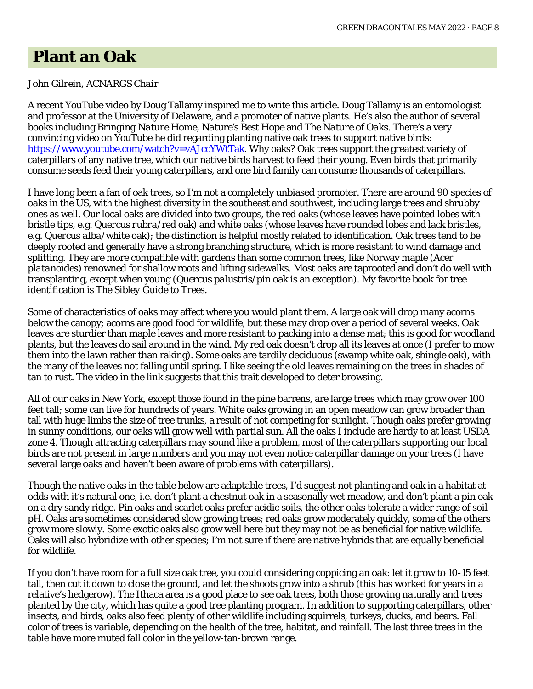### **Plant an Oak**

#### *John Gilrein, ACNARGS Chair*

A recent YouTube video by Doug Tallamy inspired me to write this article. Doug Tallamy is an entomologist and professor at the University of Delaware, and a promoter of native plants. He's also the author of several books including *Bringing Nature Home*, *Nature's Best Hope* and *The Nature of Oaks*. There's a very convincing video on YouTube he did regarding planting native oak trees to support native birds: [https://www.youtube.com/watch?v=vAJccYWtTak.](https://www.youtube.com/watch?v=vAJccYWtTak) Why oaks? Oak trees support the greatest variety of caterpillars of any native tree, which our native birds harvest to feed their young. Even birds that primarily consume seeds feed their young caterpillars, and one bird family can consume thousands of caterpillars.

I have long been a fan of oak trees, so I'm not a completely unbiased promoter. There are around 90 species of oaks in the US, with the highest diversity in the southeast and southwest, including large trees and shrubby ones as well. Our local oaks are divided into two groups, the red oaks (whose leaves have pointed lobes with bristle tips, e.g. *Quercus rubra*/red oak) and white oaks (whose leaves have rounded lobes and lack bristles, e.g. *Quercus alba*/white oak); the distinction is helpful mostly related to identification. Oak trees tend to be deeply rooted and generally have a strong branching structure, which is more resistant to wind damage and splitting. They are more compatible with gardens than some common trees, like Norway maple (*Acer platanoides*) renowned for shallow roots and lifting sidewalks. Most oaks are taprooted and don't do well with transplanting, except when young (*Quercus palustris*/pin oak is an exception). My favorite book for tree identification is *The Sibley Guide to Trees*.

Some of characteristics of oaks may affect where you would plant them. A large oak will drop many acorns below the canopy; acorns are good food for wildlife, but these may drop over a period of several weeks. Oak leaves are sturdier than maple leaves and more resistant to packing into a dense mat; this is good for woodland plants, but the leaves do sail around in the wind. My red oak doesn't drop all its leaves at once (I prefer to mow them into the lawn rather than raking). Some oaks are tardily deciduous (swamp white oak, shingle oak), with the many of the leaves not falling until spring. I like seeing the old leaves remaining on the trees in shades of tan to rust. The video in the link suggests that this trait developed to deter browsing.

All of our oaks in New York, except those found in the pine barrens, are large trees which may grow over 100 feet tall; some can live for hundreds of years. White oaks growing in an open meadow can grow broader than tall with huge limbs the size of tree trunks, a result of not competing for sunlight. Though oaks prefer growing in sunny conditions, our oaks will grow well with partial sun. All the oaks I include are hardy to at least USDA zone 4. Though attracting caterpillars may sound like a problem, most of the caterpillars supporting our local birds are not present in large numbers and you may not even notice caterpillar damage on your trees (I have several large oaks and haven't been aware of problems with caterpillars).

Though the native oaks in the table below are adaptable trees, I'd suggest not planting and oak in a habitat at odds with it's natural one, i.e. don't plant a chestnut oak in a seasonally wet meadow, and don't plant a pin oak on a dry sandy ridge. Pin oaks and scarlet oaks prefer acidic soils, the other oaks tolerate a wider range of soil pH. Oaks are sometimes considered slow growing trees; red oaks grow moderately quickly, some of the others grow more slowly. Some exotic oaks also grow well here but they may not be as beneficial for native wildlife. Oaks will also hybridize with other species; I'm not sure if there are native hybrids that are equally beneficial for wildlife.

If you don't have room for a full size oak tree, you could considering coppicing an oak: let it grow to 10-15 feet tall, then cut it down to close the ground, and let the shoots grow into a shrub (this has worked for years in a relative's hedgerow). The Ithaca area is a good place to see oak trees, both those growing naturally and trees planted by the city, which has quite a good tree planting program. In addition to supporting caterpillars, other insects, and birds, oaks also feed plenty of other wildlife including squirrels, turkeys, ducks, and bears. Fall color of trees is variable, depending on the health of the tree, habitat, and rainfall. The last three trees in the table have more muted fall color in the yellow-tan-brown range.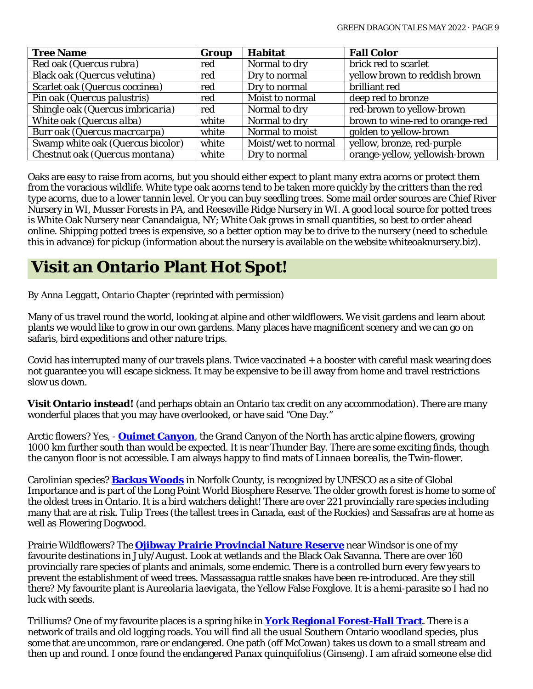| <b>Tree Name</b>                  | Group | <b>Habitat</b>      | <b>Fall Color</b>               |
|-----------------------------------|-------|---------------------|---------------------------------|
| Red oak (Quercus rubra)           | red   | Normal to dry       | brick red to scarlet            |
| Black oak (Quercus velutina)      | red   | Dry to normal       | yellow brown to reddish brown   |
| Scarlet oak (Quercus coccinea)    | red   | Dry to normal       | brilliant red                   |
| Pin oak (Quercus palustris)       | red   | Moist to normal     | deep red to bronze              |
| Shingle oak (Quercus imbricaria)  | red   | Normal to dry       | red-brown to yellow-brown       |
| White oak (Quercus alba)          | white | Normal to dry       | brown to wine-red to orange-red |
| Burr oak (Quercus macroarpa)      | white | Normal to moist     | golden to yellow-brown          |
| Swamp white oak (Quercus bicolor) | white | Moist/wet to normal | yellow, bronze, red-purple      |
| Chestnut oak (Quercus montana)    | white | Dry to normal       | orange-yellow, yellowish-brown  |

Oaks are easy to raise from acorns, but you should either expect to plant many extra acorns or protect them from the voracious wildlife. White type oak acorns tend to be taken more quickly by the critters than the red type acorns, due to a lower tannin level. Or you can buy seedling trees. Some mail order sources are Chief River Nursery in WI, Musser Forests in PA, and Reeseville Ridge Nursery in WI. A good local source for potted trees is White Oak Nursery near Canandaigua, NY; White Oak grows in small quantities, so best to order ahead online. Shipping potted trees is expensive, so a better option may be to drive to the nursery (need to schedule this in advance) for pickup (information about the nursery is available on the website whiteoaknursery.biz).

# **Visit an Ontario Plant Hot Spot!**

*By Anna Leggatt, Ontario Chapter* (reprinted with permission)

Many of us travel round the world, looking at alpine and other wildflowers. We visit gardens and learn about plants we would like to grow in our own gardens. Many places have magnificent scenery and we can go on safaris, bird expeditions and other nature trips.

Covid has interrupted many of our travels plans. Twice vaccinated + a booster with careful mask wearing does not guarantee you will escape sickness. It may be expensive to be ill away from home and travel restrictions slow us down.

**Visit Ontario instead!** (and perhaps obtain an Ontario tax credit on any accommodation). There are many wonderful places that you may have overlooked, or have said "One Day."

Arctic flowers? Yes, - **[Ouimet Canyon](https://www.ontarioparks.com/park/ouimetcanyon)**, the Grand Canyon of the North has arctic alpine flowers, growing 1000 km further south than would be expected. It is near Thunder Bay. There are some exciting finds, though the canyon floor is not accessible. I am always happy to find mats of *Linnaea borealis*, the Twin-flower.

Carolinian species? **[Backus Woods](https://www.natureconservancy.ca/en/where-we-work/google-trekker/backus-woods.html)** in Norfolk County, is recognized by UNESCO as a site of Global Importance and is part of the Long Point World Biosphere Reserve. The older growth forest is home to some of the oldest trees in Ontario. It is a bird watchers delight! There are over 221 provincially rare species including many that are at risk. Tulip Trees (the tallest trees in Canada, east of the Rockies) and Sassafras are at home as well as Flowering Dogwood.

Prairie Wildflowers? The **[Ojibway Prairie Provincial Nature Reserve](https://www.ojibway.ca/complex.htm)** near Windsor is one of my favourite destinations in July/August. Look at wetlands and the Black Oak Savanna. There are over 160 provincially rare species of plants and animals, some endemic. There is a controlled burn every few years to prevent the establishment of weed trees. Massassagua rattle snakes have been re-introduced. Are they still there? My favourite plant is *Aureolaria laevigata*, the Yellow False Foxglove. It is a hemi-parasite so I had no luck with seeds.

Trilliums? One of my favourite places is a spring hike in **[York Regional Forest-Hall](https://ontarionaturetrails.com/trail/york-regional-forests-trails-hall-tract/) Tract**. There is a network of trails and old logging roads. You will find all the usual Southern Ontario woodland species, plus some that are uncommon, rare or endangered. One path (off McCowan) takes us down to a small stream and then up and round. I once found the endangered *Panax quinquifolius* (Ginseng). I am afraid someone else did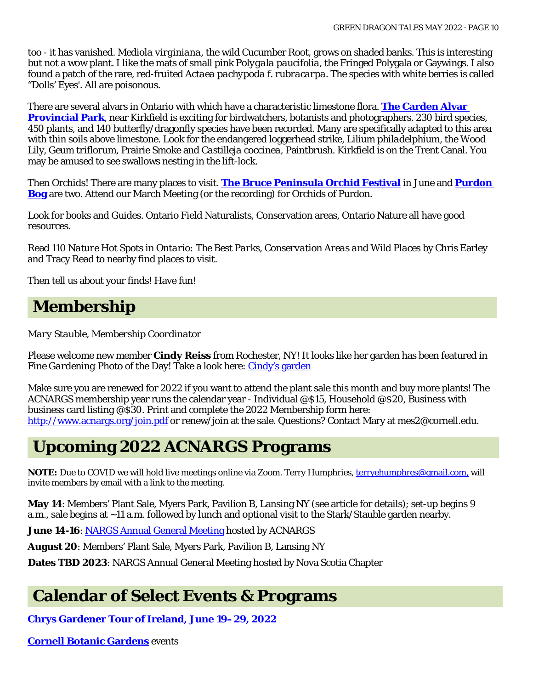too - it has vanished. *Mediola virginiana*, the wild Cucumber Root, grows on shaded banks. This is interesting but not a wow plant. I like the mats of small pink *Polygala paucifolia*, the Fringed Polygala or Gaywings. I also found a patch of the rare, red-fruited *Actaea pachypoda* f. *rubracarpa*. The species with white berries is called "Dolls' Eyes'. All are poisonous.

There are several alvars in Ontario with which have a characteristic limestone flora. **[The Carden Alvar](https://www.ontarioparks.com/parksblog/carden-alvar-provincial-park-and-iba/)  [Provincial Park](https://www.ontarioparks.com/parksblog/carden-alvar-provincial-park-and-iba/)**, near Kirkfield is exciting for birdwatchers, botanists and photographers. 230 bird species, 450 plants, and 140 butterfly/dragonfly species have been recorded. Many are specifically adapted to this area with thin soils above limestone. Look for the endangered loggerhead strike, *Lilium philadelphium*, the Wood Lily, *Geum triflorum*, Prairie Smoke and *Castilleja coccinea*, Paintbrush. Kirkfield is on the Trent Canal. You may be amused to see swallows nesting in the lift-lock.

Then Orchids! There are many places to visit. **[The Bruce Peninsula Orchid Festival](https://www.orchidfest.ca/)** in June and **[Purdon](https://mvc.on.ca/conservation-areas/purdon/)  [Bog](https://mvc.on.ca/conservation-areas/purdon/)** are two. Attend our March Meeting (or the recording) for Orchids of Purdon.

Look for books and Guides. Ontario Field Naturalists, Conservation areas, Ontario Nature all have good resources.

Read *110 Nature Hot Spots in Ontario: The Best Parks, Conservation Areas and Wild Places* by [Chris Earley](https://www.chapters.indigo.ca/en-ca/books/contributor/author/chris-earley/) an[d Tracy Read](https://www.chapters.indigo.ca/en-ca/books/contributor/author/tracy-read/) to nearby find places to visit.

Then tell us about your finds! Have fun!

### **Membership**

*Mary Stauble, Membership Coordinator*

Please welcome new member **Cindy Reiss** from Rochester, NY! It looks like her garden has been featured in *Fine Gardening* Photo of the Day! Take a look here: [Cindy's garden](https://www.finegardening.com/article/cindys-garden-in-new-york)

Make sure you are renewed for 2022 if you want to attend the plant sale this month and buy more plants! The ACNARGS membership year runs the calendar year - Individual @\$15, Household @\$20, Business with business card listing @\$30. Print and complete the 2022 Membership form here: <http://www.acnargs.org/join.pdf> or renew/join at the sale. Questions? Contact Mary at mes2@cornell.edu.

### **Upcoming 2022 ACNARGS Programs**

**NOTE:** Due to COVID we will hold live meetings online via Zoom. Terry Humphries, [terryehumphres@gmail.com,](mailto:terryehumphres@gmail.com) will invite members by email with a link to the meeting.

**May 14**: Members' Plant Sale, Myers Park, Pavilion B, Lansing NY (see article for details); set-up begins 9 a.m., sale begins at ~11 a.m. followed by lunch and optional visit to the Stark/Stauble garden nearby.

June 14-16[: NARGS Annual General Meeting](https://www.nargs.org/event/alpine-visions-exploration-and-inspiration-ithaca-ny-2022) hosted by ACNARGS

**August 20**: Members' Plant Sale, Myers Park, Pavilion B, Lansing NY

**Dates TBD 2023**: NARGS Annual General Meeting hosted by Nova Scotia Chapter

### **Calendar of Select Events & Programs**

**[Chrys Gardener Tour of Ireland, June 19–29, 2022](https://chrysgardener.com/)**

**[Cornell Botanic Gardens](https://cornellbotanicgardens.org/explore/events/)** events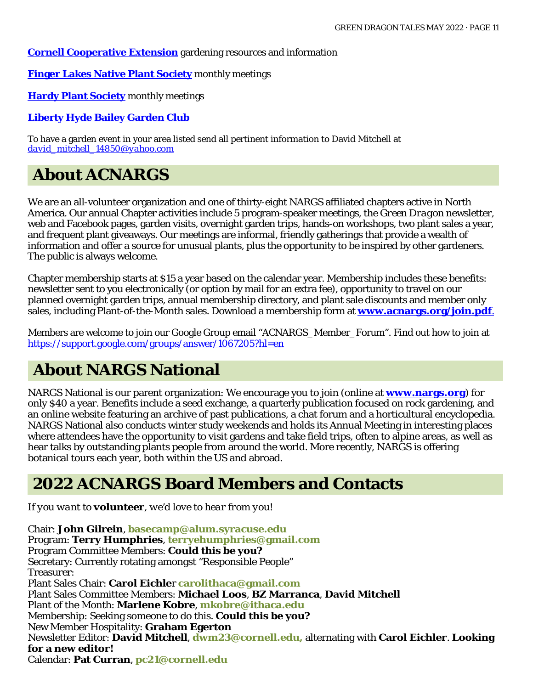#### **[Cornell Cooperative Extension](http://ccetompkins.org/gardening)** gardening resources and information

**[Finger Lakes Native Plant Society](https://flnps.org/)** monthly meetings

**Hardy [Plant Society](https://www.hardyplant.org/)** monthly meetings

#### **[Liberty Hyde Bailey Garden Club](http://www.hort.cornell.edu/LHBGC/)**

To have a garden event in your area listed send all pertinent information to David Mitchell at *[david\\_mitchell\\_14850@yahoo.com](mailto:david_mitchell_14850@yahoo.com)*

# **About ACNARGS**

We are an all-volunteer organization and one of thirty-eight NARGS affiliated chapters active in North America. Our annual Chapter activities include 5 program-speaker meetings, the *Green Dragon* newsletter, web and Facebook pages, garden visits, overnight garden trips, hands-on workshops, two plant sales a year, and frequent plant giveaways. Our meetings are informal, friendly gatherings that provide a wealth of information and offer a source for unusual plants, plus the opportunity to be inspired by other gardeners. The public is always welcome.

Chapter membership starts at \$15 a year based on the calendar year. Membership includes these benefits: newsletter sent to you electronically (or option by mail for an extra fee), opportunity to travel on our planned overnight garden trips, annual membership directory, and plant sale discounts and member only sales, including Plant-of-the-Month sales. Download a membership form at **[www.acnargs.org/join.pdf](http://www.acnargs.org/join.pdf.)**.

Members are welcome to join our Google Group email "ACNARGS\_Member\_Forum". Find out how to join at <https://support.google.com/groups/answer/1067205?hl=en>

# **About NARGS National**

NARGS National is our parent organization: We encourage you to join (online at **www.nargs.org**) for only \$40 a year. Benefits include a seed exchange, a quarterly publication focused on rock gardening, and an online website featuring an archive of past publications, a chat forum and a horticultural encyclopedia. NARGS National also conducts winter study weekends and holds its Annual Meeting in interesting places where attendees have the opportunity to visit gardens and take field trips, often to alpine areas, as well as hear talks by outstanding plants people from around the world. More recently, NARGS is offering botanical tours each year, both within the US and abroad.

### **2022 ACNARGS Board Members and Contacts**

*If you want to volunteer, we'd love to hear from you!*

Chair: **John Gilrein**, **[basecamp@alum.syracuse.edu](mailto:basecamp@alum.syracuse.edu)**  Program: **Terry Humphries**, **[terryehumphries@gmail.com](mailto:terryehumphries@gmail.com)**  Program Committee Members: **Could this be you?** Secretary: Currently rotating amongst "Responsible People" Treasurer: Plant Sales Chair: **Carol Eichle**r **[carolithaca@gmail.com](mailto:carolithaca@gmail.com)**  Plant Sales Committee Members: **Michael Loos**, **BZ Marranca**, **David Mitchell** Plant of the Month: **Marlene Kobre**, **[mkobre@ithaca.edu](mailto:mkobre@ithaca.edu)** Membership: Seeking someone to do this. **Could this be you?** New Member Hospitality: **Graham Egerton** Newsletter Editor: **David Mitchell**, **[dwm23@cornell.edu,](mailto:dwm23@cornell.edu)** alternating with **Carol Eichler**. **Looking for a new editor!** Calendar: **Pat Curran**, **[pc21@cornell.edu](mailto:pc21@cornell.edu)**